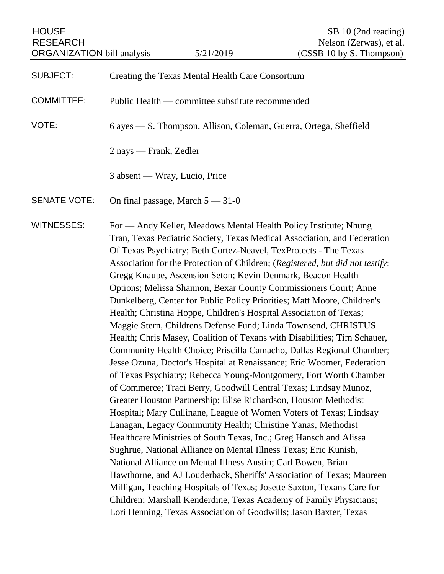HOUSE SB 10 (2nd reading) RESEARCH Nelson (Zerwas), et al.

SUBJECT: Creating the Texas Mental Health Care Consortium COMMITTEE: Public Health — committee substitute recommended VOTE: 6 ayes — S. Thompson, Allison, Coleman, Guerra, Ortega, Sheffield 2 nays — Frank, Zedler 3 absent — Wray, Lucio, Price SENATE VOTE: On final passage, March  $5 - 31 - 0$ WITNESSES: For — Andy Keller, Meadows Mental Health Policy Institute; Nhung Tran, Texas Pediatric Society, Texas Medical Association, and Federation Of Texas Psychiatry; Beth Cortez-Neavel, TexProtects - The Texas Association for the Protection of Children; (*Registered, but did not testify*: Gregg Knaupe, Ascension Seton; Kevin Denmark, Beacon Health Options; Melissa Shannon, Bexar County Commissioners Court; Anne Dunkelberg, Center for Public Policy Priorities; Matt Moore, Children's Health; Christina Hoppe, Children's Hospital Association of Texas; Maggie Stern, Childrens Defense Fund; Linda Townsend, CHRISTUS Health; Chris Masey, Coalition of Texans with Disabilities; Tim Schauer, Community Health Choice; Priscilla Camacho, Dallas Regional Chamber; Jesse Ozuna, Doctor's Hospital at Renaissance; Eric Woomer, Federation of Texas Psychiatry; Rebecca Young-Montgomery, Fort Worth Chamber of Commerce; Traci Berry, Goodwill Central Texas; Lindsay Munoz, Greater Houston Partnership; Elise Richardson, Houston Methodist Hospital; Mary Cullinane, League of Women Voters of Texas; Lindsay Lanagan, Legacy Community Health; Christine Yanas, Methodist Healthcare Ministries of South Texas, Inc.; Greg Hansch and Alissa Sughrue, National Alliance on Mental Illness Texas; Eric Kunish, National Alliance on Mental Illness Austin; Carl Bowen, Brian Hawthorne, and AJ Louderback, Sheriffs' Association of Texas; Maureen Milligan, Teaching Hospitals of Texas; Josette Saxton, Texans Care for Children; Marshall Kenderdine, Texas Academy of Family Physicians; Lori Henning, Texas Association of Goodwills; Jason Baxter, Texas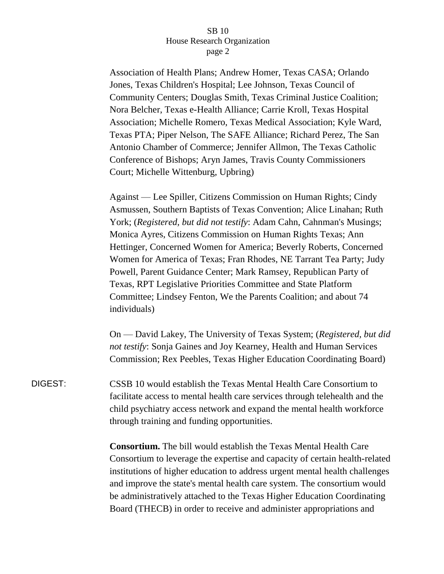Association of Health Plans; Andrew Homer, Texas CASA; Orlando Jones, Texas Children's Hospital; Lee Johnson, Texas Council of Community Centers; Douglas Smith, Texas Criminal Justice Coalition; Nora Belcher, Texas e-Health Alliance; Carrie Kroll, Texas Hospital Association; Michelle Romero, Texas Medical Association; Kyle Ward, Texas PTA; Piper Nelson, The SAFE Alliance; Richard Perez, The San Antonio Chamber of Commerce; Jennifer Allmon, The Texas Catholic Conference of Bishops; Aryn James, Travis County Commissioners Court; Michelle Wittenburg, Upbring)

Against — Lee Spiller, Citizens Commission on Human Rights; Cindy Asmussen, Southern Baptists of Texas Convention; Alice Linahan; Ruth York; (*Registered, but did not testify*: Adam Cahn, Cahnman's Musings; Monica Ayres, Citizens Commission on Human Rights Texas; Ann Hettinger, Concerned Women for America; Beverly Roberts, Concerned Women for America of Texas; Fran Rhodes, NE Tarrant Tea Party; Judy Powell, Parent Guidance Center; Mark Ramsey, Republican Party of Texas, RPT Legislative Priorities Committee and State Platform Committee; Lindsey Fenton, We the Parents Coalition; and about 74 individuals)

On — David Lakey, The University of Texas System; (*Registered, but did not testify*: Sonja Gaines and Joy Kearney, Health and Human Services Commission; Rex Peebles, Texas Higher Education Coordinating Board)

DIGEST: CSSB 10 would establish the Texas Mental Health Care Consortium to facilitate access to mental health care services through telehealth and the child psychiatry access network and expand the mental health workforce through training and funding opportunities.

> **Consortium.** The bill would establish the Texas Mental Health Care Consortium to leverage the expertise and capacity of certain health-related institutions of higher education to address urgent mental health challenges and improve the state's mental health care system. The consortium would be administratively attached to the Texas Higher Education Coordinating Board (THECB) in order to receive and administer appropriations and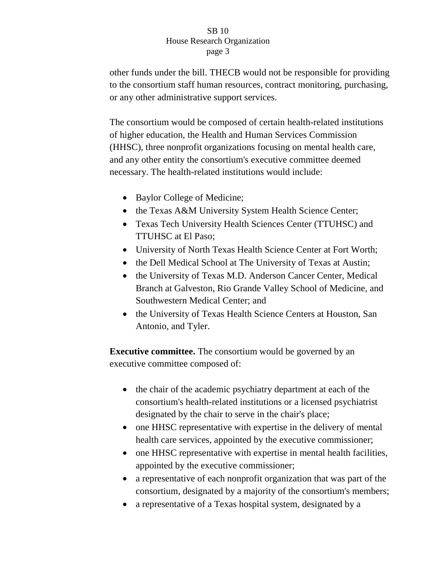other funds under the bill. THECB would not be responsible for providing to the consortium staff human resources, contract monitoring, purchasing, or any other administrative support services.

The consortium would be composed of certain health-related institutions of higher education, the Health and Human Services Commission (HHSC), three nonprofit organizations focusing on mental health care, and any other entity the consortium's executive committee deemed necessary. The health-related institutions would include:

- Baylor College of Medicine;
- the Texas A&M University System Health Science Center;
- Texas Tech University Health Sciences Center (TTUHSC) and TTUHSC at El Paso;
- University of North Texas Health Science Center at Fort Worth;
- the Dell Medical School at The University of Texas at Austin;
- the University of Texas M.D. Anderson Cancer Center, Medical Branch at Galveston, Rio Grande Valley School of Medicine, and Southwestern Medical Center; and
- the University of Texas Health Science Centers at Houston, San Antonio, and Tyler.

**Executive committee.** The consortium would be governed by an executive committee composed of:

- the chair of the academic psychiatry department at each of the consortium's health-related institutions or a licensed psychiatrist designated by the chair to serve in the chair's place;
- one HHSC representative with expertise in the delivery of mental health care services, appointed by the executive commissioner;
- one HHSC representative with expertise in mental health facilities, appointed by the executive commissioner;
- a representative of each nonprofit organization that was part of the consortium, designated by a majority of the consortium's members;
- a representative of a Texas hospital system, designated by a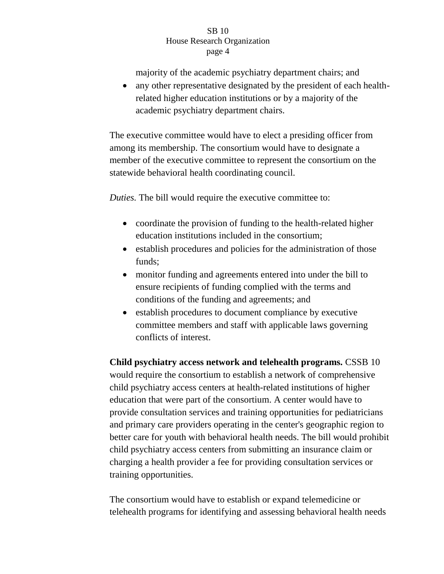majority of the academic psychiatry department chairs; and

 any other representative designated by the president of each healthrelated higher education institutions or by a majority of the academic psychiatry department chairs.

The executive committee would have to elect a presiding officer from among its membership. The consortium would have to designate a member of the executive committee to represent the consortium on the statewide behavioral health coordinating council.

*Duties.* The bill would require the executive committee to:

- coordinate the provision of funding to the health-related higher education institutions included in the consortium;
- establish procedures and policies for the administration of those funds;
- monitor funding and agreements entered into under the bill to ensure recipients of funding complied with the terms and conditions of the funding and agreements; and
- establish procedures to document compliance by executive committee members and staff with applicable laws governing conflicts of interest.

**Child psychiatry access network and telehealth programs.** CSSB 10 would require the consortium to establish a network of comprehensive child psychiatry access centers at health-related institutions of higher education that were part of the consortium. A center would have to provide consultation services and training opportunities for pediatricians and primary care providers operating in the center's geographic region to better care for youth with behavioral health needs. The bill would prohibit child psychiatry access centers from submitting an insurance claim or charging a health provider a fee for providing consultation services or training opportunities.

The consortium would have to establish or expand telemedicine or telehealth programs for identifying and assessing behavioral health needs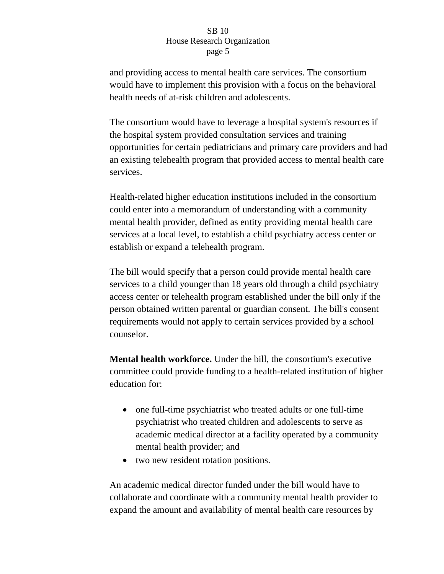and providing access to mental health care services. The consortium would have to implement this provision with a focus on the behavioral health needs of at-risk children and adolescents.

The consortium would have to leverage a hospital system's resources if the hospital system provided consultation services and training opportunities for certain pediatricians and primary care providers and had an existing telehealth program that provided access to mental health care services.

Health-related higher education institutions included in the consortium could enter into a memorandum of understanding with a community mental health provider, defined as entity providing mental health care services at a local level, to establish a child psychiatry access center or establish or expand a telehealth program.

The bill would specify that a person could provide mental health care services to a child younger than 18 years old through a child psychiatry access center or telehealth program established under the bill only if the person obtained written parental or guardian consent. The bill's consent requirements would not apply to certain services provided by a school counselor.

**Mental health workforce.** Under the bill, the consortium's executive committee could provide funding to a health-related institution of higher education for:

- one full-time psychiatrist who treated adults or one full-time psychiatrist who treated children and adolescents to serve as academic medical director at a facility operated by a community mental health provider; and
- two new resident rotation positions.

An academic medical director funded under the bill would have to collaborate and coordinate with a community mental health provider to expand the amount and availability of mental health care resources by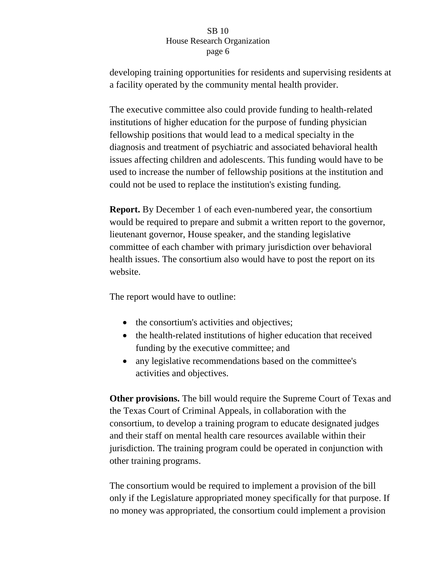developing training opportunities for residents and supervising residents at a facility operated by the community mental health provider.

The executive committee also could provide funding to health-related institutions of higher education for the purpose of funding physician fellowship positions that would lead to a medical specialty in the diagnosis and treatment of psychiatric and associated behavioral health issues affecting children and adolescents. This funding would have to be used to increase the number of fellowship positions at the institution and could not be used to replace the institution's existing funding.

**Report.** By December 1 of each even-numbered year, the consortium would be required to prepare and submit a written report to the governor, lieutenant governor, House speaker, and the standing legislative committee of each chamber with primary jurisdiction over behavioral health issues. The consortium also would have to post the report on its website.

The report would have to outline:

- the consortium's activities and objectives;
- the health-related institutions of higher education that received funding by the executive committee; and
- any legislative recommendations based on the committee's activities and objectives.

**Other provisions.** The bill would require the Supreme Court of Texas and the Texas Court of Criminal Appeals, in collaboration with the consortium, to develop a training program to educate designated judges and their staff on mental health care resources available within their jurisdiction. The training program could be operated in conjunction with other training programs.

The consortium would be required to implement a provision of the bill only if the Legislature appropriated money specifically for that purpose. If no money was appropriated, the consortium could implement a provision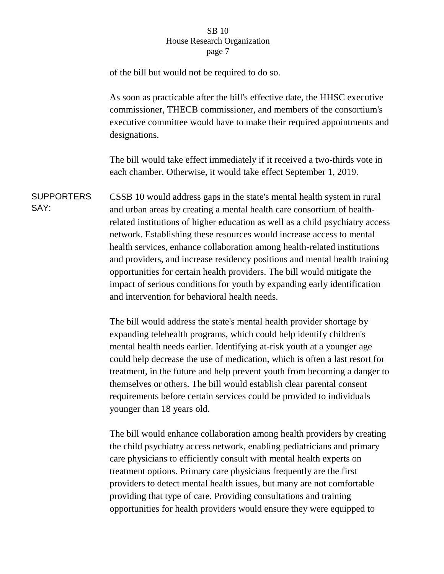of the bill but would not be required to do so.

As soon as practicable after the bill's effective date, the HHSC executive commissioner, THECB commissioner, and members of the consortium's executive committee would have to make their required appointments and designations.

The bill would take effect immediately if it received a two-thirds vote in each chamber. Otherwise, it would take effect September 1, 2019.

**SUPPORTERS** SAY: CSSB 10 would address gaps in the state's mental health system in rural and urban areas by creating a mental health care consortium of healthrelated institutions of higher education as well as a child psychiatry access network. Establishing these resources would increase access to mental health services, enhance collaboration among health-related institutions and providers, and increase residency positions and mental health training opportunities for certain health providers. The bill would mitigate the impact of serious conditions for youth by expanding early identification and intervention for behavioral health needs.

> The bill would address the state's mental health provider shortage by expanding telehealth programs, which could help identify children's mental health needs earlier. Identifying at-risk youth at a younger age could help decrease the use of medication, which is often a last resort for treatment, in the future and help prevent youth from becoming a danger to themselves or others. The bill would establish clear parental consent requirements before certain services could be provided to individuals younger than 18 years old.

The bill would enhance collaboration among health providers by creating the child psychiatry access network, enabling pediatricians and primary care physicians to efficiently consult with mental health experts on treatment options. Primary care physicians frequently are the first providers to detect mental health issues, but many are not comfortable providing that type of care. Providing consultations and training opportunities for health providers would ensure they were equipped to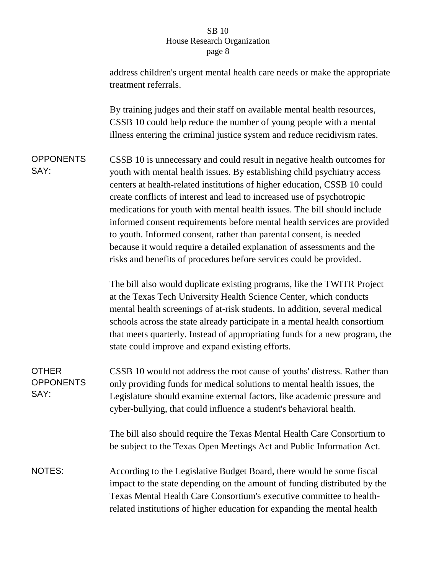|                                          | address children's urgent mental health care needs or make the appropriate<br>treatment referrals.                                                                                                                                                                                                                                                                                                                                                                                                                                                                                                                                                                                         |
|------------------------------------------|--------------------------------------------------------------------------------------------------------------------------------------------------------------------------------------------------------------------------------------------------------------------------------------------------------------------------------------------------------------------------------------------------------------------------------------------------------------------------------------------------------------------------------------------------------------------------------------------------------------------------------------------------------------------------------------------|
|                                          | By training judges and their staff on available mental health resources,<br>CSSB 10 could help reduce the number of young people with a mental<br>illness entering the criminal justice system and reduce recidivism rates.                                                                                                                                                                                                                                                                                                                                                                                                                                                                |
| <b>OPPONENTS</b><br>SAY:                 | CSSB 10 is unnecessary and could result in negative health outcomes for<br>youth with mental health issues. By establishing child psychiatry access<br>centers at health-related institutions of higher education, CSSB 10 could<br>create conflicts of interest and lead to increased use of psychotropic<br>medications for youth with mental health issues. The bill should include<br>informed consent requirements before mental health services are provided<br>to youth. Informed consent, rather than parental consent, is needed<br>because it would require a detailed explanation of assessments and the<br>risks and benefits of procedures before services could be provided. |
|                                          | The bill also would duplicate existing programs, like the TWITR Project<br>at the Texas Tech University Health Science Center, which conducts<br>mental health screenings of at-risk students. In addition, several medical<br>schools across the state already participate in a mental health consortium<br>that meets quarterly. Instead of appropriating funds for a new program, the<br>state could improve and expand existing efforts.                                                                                                                                                                                                                                               |
| <b>OTHER</b><br><b>OPPONENTS</b><br>SAY: | CSSB 10 would not address the root cause of youths' distress. Rather than<br>only providing funds for medical solutions to mental health issues, the<br>Legislature should examine external factors, like academic pressure and<br>cyber-bullying, that could influence a student's behavioral health.                                                                                                                                                                                                                                                                                                                                                                                     |
|                                          | The bill also should require the Texas Mental Health Care Consortium to<br>be subject to the Texas Open Meetings Act and Public Information Act.                                                                                                                                                                                                                                                                                                                                                                                                                                                                                                                                           |
| <b>NOTES:</b>                            | According to the Legislative Budget Board, there would be some fiscal<br>impact to the state depending on the amount of funding distributed by the<br>Texas Mental Health Care Consortium's executive committee to health-<br>related institutions of higher education for expanding the mental health                                                                                                                                                                                                                                                                                                                                                                                     |